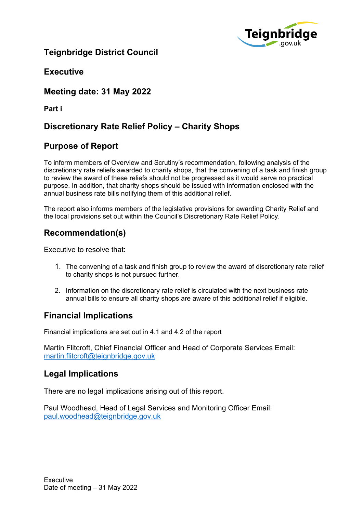

# **Teignbridge District Council**

**Executive**

**Meeting date: 31 May 2022**

**Part i**

# **Discretionary Rate Relief Policy – Charity Shops**

## **Purpose of Report**

To inform members of Overview and Scrutiny's recommendation, following analysis of the discretionary rate reliefs awarded to charity shops, that the convening of a task and finish group to review the award of these reliefs should not be progressed as it would serve no practical purpose. In addition, that charity shops should be issued with information enclosed with the annual business rate bills notifying them of this additional relief.

The report also informs members of the legislative provisions for awarding Charity Relief and the local provisions set out within the Council's Discretionary Rate Relief Policy.

## **Recommendation(s)**

Executive to resolve that:

- 1. The convening of a task and finish group to review the award of discretionary rate relief to charity shops is not pursued further.
- 2. Information on the discretionary rate relief is circulated with the next business rate annual bills to ensure all charity shops are aware of this additional relief if eligible.

### **Financial Implications**

Financial implications are set out in 4.1 and 4.2 of the report

Martin Flitcroft, Chief Financial Officer and Head of Corporate Services Email: [martin.flitcroft@teignbridge.gov.uk](mailto:martin.flitcroft@teignbridge.gov.uk)

#### **Legal Implications**

There are no legal implications arising out of this report.

Paul Woodhead, Head of Legal Services and Monitoring Officer Email: [paul.woodhead@teignbridge.gov.uk](mailto:paul.woodhead@teignbridge.gov.uk)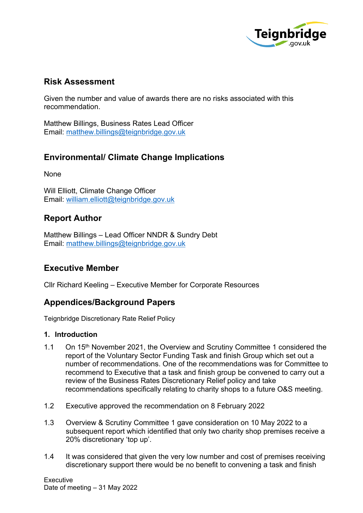

### **Risk Assessment**

Given the number and value of awards there are no risks associated with this recommendation.

Matthew Billings, Business Rates Lead Officer Email: [matthew.billings@teignbridge.gov.uk](mailto:matthew.billings@teignbridge.gov.uk)

## **Environmental/ Climate Change Implications**

None

Will Elliott, Climate Change Officer Email: [william.elliott@teignbridge.gov.uk](mailto:william.elliott@teignbridge.gov.uk)

### **Report Author**

Matthew Billings – Lead Officer NNDR & Sundry Debt Email: [matthew.billings@teignbridge.gov.uk](mailto:matthew.billings@teignbridge.gov.uk)

#### **Executive Member**

Cllr Richard Keeling – Executive Member for Corporate Resources

### **Appendices/Background Papers**

Teignbridge Discretionary Rate Relief Policy

#### **1. Introduction**

- 1.1 On 15<sup>th</sup> November 2021, the Overview and Scrutiny Committee 1 considered the report of the Voluntary Sector Funding Task and finish Group which set out a number of recommendations. One of the recommendations was for Committee to recommend to Executive that a task and finish group be convened to carry out a review of the Business Rates Discretionary Relief policy and take recommendations specifically relating to charity shops to a future O&S meeting.
- 1.2 Executive approved the recommendation on 8 February 2022
- 1.3 Overview & Scrutiny Committee 1 gave consideration on 10 May 2022 to a subsequent report which identified that only two charity shop premises receive a 20% discretionary 'top up'.
- 1.4 It was considered that given the very low number and cost of premises receiving discretionary support there would be no benefit to convening a task and finish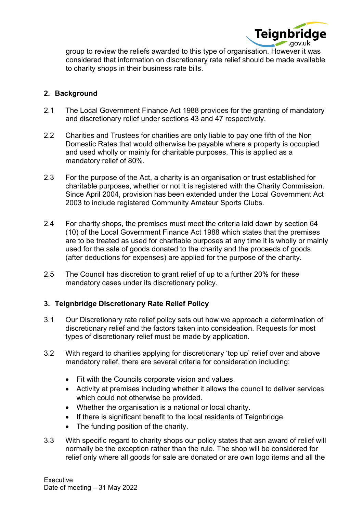

group to review the reliefs awarded to this type of organisation. However it was considered that information on discretionary rate relief should be made available to charity shops in their business rate bills.

#### **2. Background**

- 2.1 The Local Government Finance Act 1988 provides for the granting of mandatory and discretionary relief under sections 43 and 47 respectively.
- 2.2 Charities and Trustees for charities are only liable to pay one fifth of the Non Domestic Rates that would otherwise be payable where a property is occupied and used wholly or mainly for charitable purposes. This is applied as a mandatory relief of 80%.
- 2.3 For the purpose of the Act, a charity is an organisation or trust established for charitable purposes, whether or not it is registered with the Charity Commission. Since April 2004, provision has been extended under the Local Government Act 2003 to include registered Community Amateur Sports Clubs.
- 2.4 For charity shops, the premises must meet the criteria laid down by section 64 (10) of the Local Government Finance Act 1988 which states that the premises are to be treated as used for charitable purposes at any time it is wholly or mainly used for the sale of goods donated to the charity and the proceeds of goods (after deductions for expenses) are applied for the purpose of the charity.
- 2.5 The Council has discretion to grant relief of up to a further 20% for these mandatory cases under its discretionary policy.

#### **3. Teignbridge Discretionary Rate Relief Policy**

- 3.1 Our Discretionary rate relief policy sets out how we approach a determination of discretionary relief and the factors taken into consideation. Requests for most types of discretionary relief must be made by application.
- 3.2 With regard to charities applying for discretionary 'top up' relief over and above mandatory relief, there are several criteria for consideration including:
	- Fit with the Councils corporate vision and values.
	- Activity at premises including whether it allows the council to deliver services which could not otherwise be provided.
	- Whether the organisation is a national or local charity.
	- If there is significant benefit to the local residents of Teignbridge.
	- The funding position of the charity.
- 3.3 With specific regard to charity shops our policy states that asn award of relief will normally be the exception rather than the rule. The shop will be considered for relief only where all goods for sale are donated or are own logo items and all the